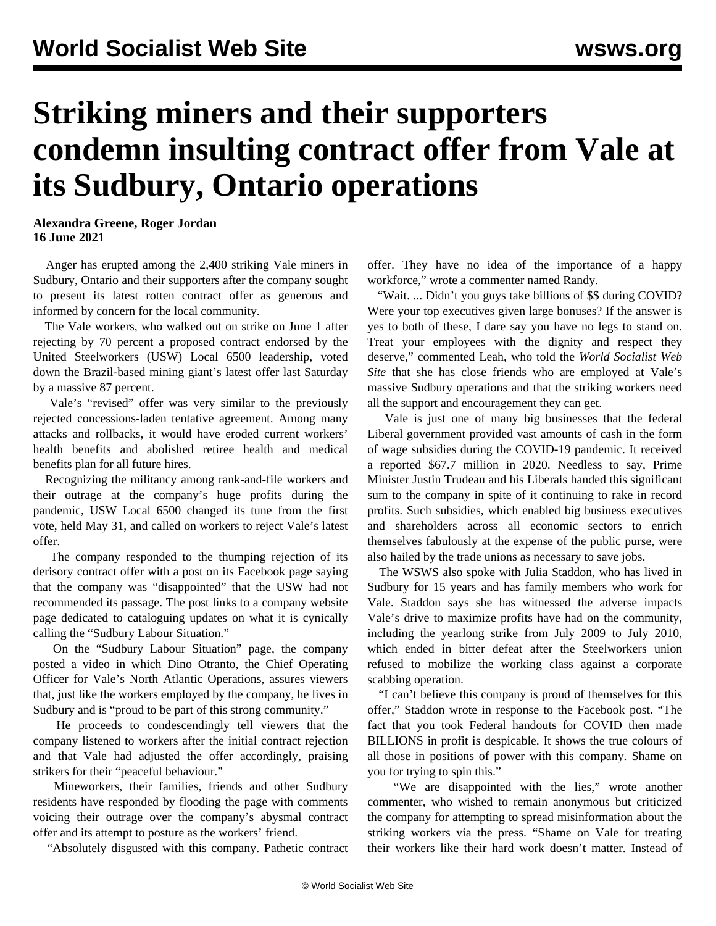## **Striking miners and their supporters condemn insulting contract offer from Vale at its Sudbury, Ontario operations**

**Alexandra Greene, Roger Jordan 16 June 2021**

 Anger has erupted among the 2,400 striking Vale miners in Sudbury, Ontario and their supporters after the company sought to present its latest rotten contract offer as generous and informed by concern for the local community.

 The Vale workers, who walked out on strike on June 1 after rejecting by 70 percent a proposed contract endorsed by the United Steelworkers (USW) Local 6500 leadership, voted down the Brazil-based mining giant's latest offer last Saturday by a massive 87 percent.

 Vale's "revised" offer was very similar to the previously rejected concessions-laden tentative agreement. Among many attacks and rollbacks, it would have eroded current workers' health benefits and abolished retiree health and medical benefits plan for all future hires.

 Recognizing the militancy among rank-and-file workers and their outrage at the company's huge profits during the pandemic, USW Local 6500 changed its tune from the first vote, held May 31, and called on workers to reject Vale's latest offer.

 The company responded to the thumping rejection of its derisory contract offer with a post on its Facebook page saying that the company was "disappointed" that the USW had not recommended its passage. The post links to a company website page dedicated to cataloguing updates on what it is cynically calling the "Sudbury Labour Situation."

 On the "Sudbury Labour Situation" page, the company posted a video in which Dino Otranto, the Chief Operating Officer for Vale's North Atlantic Operations, assures viewers that, just like the workers employed by the company, he lives in Sudbury and is "proud to be part of this strong community."

 He proceeds to condescendingly tell viewers that the company listened to workers after the initial contract rejection and that Vale had adjusted the offer accordingly, praising strikers for their "peaceful behaviour."

 Mineworkers, their families, friends and other Sudbury residents have responded by flooding the page with comments voicing their outrage over the company's abysmal contract offer and its attempt to posture as the workers' friend.

"Absolutely disgusted with this company. Pathetic contract

offer. They have no idea of the importance of a happy workforce," wrote a commenter named Randy.

 "Wait. ... Didn't you guys take billions of \$\$ during COVID? Were your top executives given large bonuses? If the answer is yes to both of these, I dare say you have no legs to stand on. Treat your employees with the dignity and respect they deserve," commented Leah, who told the *World Socialist Web Site* that she has close friends who are employed at Vale's massive Sudbury operations and that the striking workers need all the support and encouragement they can get.

 Vale is just one of many big businesses that the federal Liberal government provided vast amounts of cash in the form of wage subsidies during the COVID-19 pandemic. It received a reported \$67.7 million in 2020. Needless to say, Prime Minister Justin Trudeau and his Liberals handed this significant sum to the company in spite of it continuing to rake in record profits. Such subsidies, which enabled big business executives and shareholders across all economic sectors to enrich themselves fabulously at the expense of the public purse, were also hailed by the trade unions as necessary to save jobs.

 The WSWS also spoke with Julia Staddon, who has lived in Sudbury for 15 years and has family members who work for Vale. Staddon says she has witnessed the adverse impacts Vale's drive to maximize profits have had on the community, including the yearlong strike from July 2009 to July 2010, which ended in bitter defeat after the Steelworkers union refused to mobilize the working class against a corporate scabbing operation.

 "I can't believe this company is proud of themselves for this offer," Staddon wrote in response to the Facebook post. "The fact that you took Federal handouts for COVID then made BILLIONS in profit is despicable. It shows the true colours of all those in positions of power with this company. Shame on you for trying to spin this."

 "We are disappointed with the lies," wrote another commenter, who wished to remain anonymous but criticized the company for attempting to spread misinformation about the striking workers via the press. "Shame on Vale for treating their workers like their hard work doesn't matter. Instead of